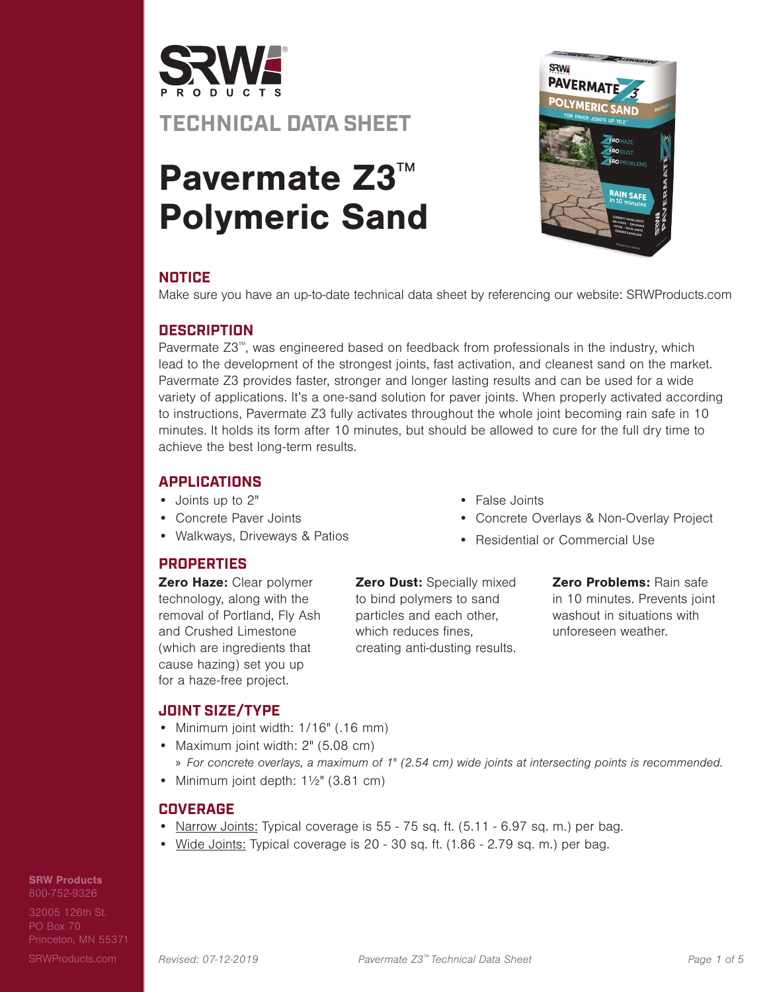

# Pavermate Z3™ Polymeric Sand



## **NOTICE**

Make sure you have an up-to-date technical data sheet by referencing our website: SRWProducts.com

## **DESCRIPTION**

Pavermate Z3™, was engineered based on feedback from professionals in the industry, which lead to the development of the strongest joints, fast activation, and cleanest sand on the market. Pavermate Z3 provides faster, stronger and longer lasting results and can be used for a wide variety of applications. It's a one-sand solution for paver joints. When properly activated according to instructions, Pavermate Z3 fully activates throughout the whole joint becoming rain safe in 10 minutes. It holds its form after 10 minutes, but should be allowed to cure for the full dry time to achieve the best long-term results.

• False Joints

## **APPLICATIONS**

- Joints up to 2"
- Concrete Paver Joints
- Walkways, Driveways & Patios

## **PROPERTIES**

Zero Haze: Clear polymer technology, along with the removal of Portland, Fly Ash and Crushed Limestone (which are ingredients that cause hazing) set you up for a haze-free project.

**Zero Dust: Specially mixed** to bind polymers to sand particles and each other, which reduces fines, creating anti-dusting results.

Zero Problems: Rain safe

• Concrete Overlays & Non-Overlay Project

• Residential or Commercial Use

in 10 minutes. Prevents joint washout in situations with unforeseen weather.

## **JOINT SIZE/TYPE**

- Minimum joint width: 1/16" (.16 mm)
- Maximum joint width: 2" (5.08 cm)
- » For concrete overlays, a maximum of 1" (2.54 cm) wide joints at intersecting points is recommended.
- Minimum joint depth:  $1\frac{1}{2}$ " (3.81 cm)

#### **COVERAGE**

- Narrow Joints: Typical coverage is 55 75 sq. ft. (5.11 6.97 sq. m.) per bag.
- Wide Joints: Typical coverage is 20 30 sq. ft. (1.86 2.79 sq. m.) per bag.

## SRW Products

800-752-9326 32005 126th St.

PO Box 70 Princeton, MN 55371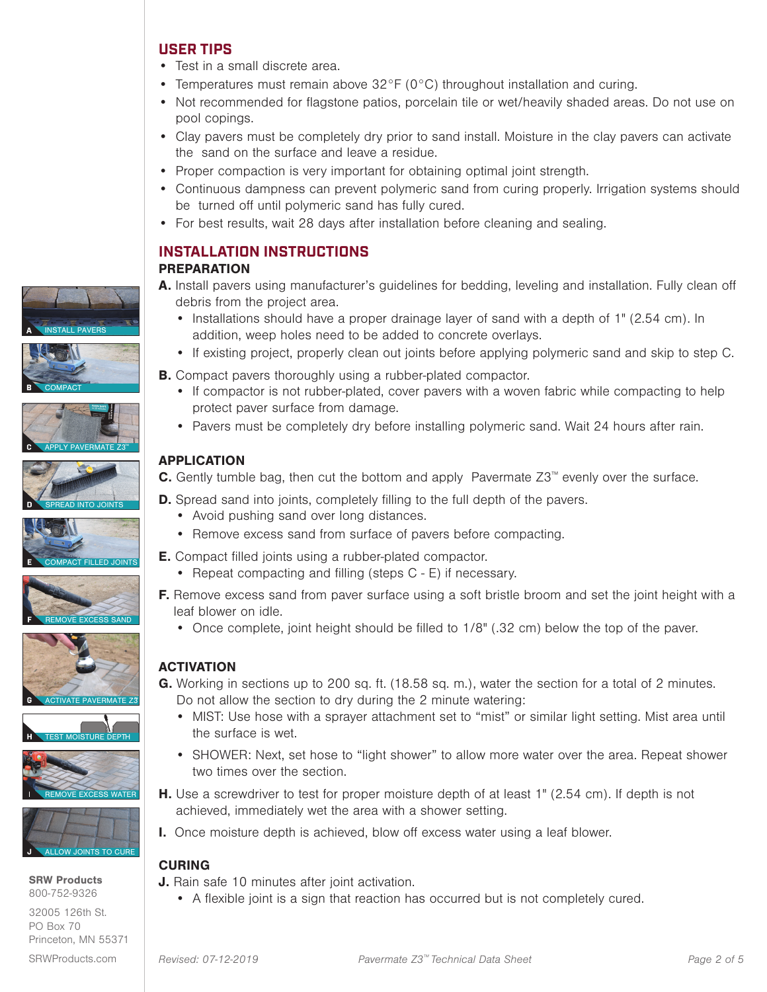#### **USER TIPS**

- Test in a small discrete area.
- Temperatures must remain above 32°F (0°C) throughout installation and curing.
- Not recommended for flagstone patios, porcelain tile or wet/heavily shaded areas. Do not use on pool copings.
- Clay pavers must be completely dry prior to sand install. Moisture in the clay pavers can activate the sand on the surface and leave a residue.
- Proper compaction is very important for obtaining optimal joint strength.
- Continuous dampness can prevent polymeric sand from curing properly. Irrigation systems should be turned off until polymeric sand has fully cured.
- For best results, wait 28 days after installation before cleaning and sealing.

#### **INSTALLATION INSTRUCTIONS** PREPARATION

- A. Install pavers using manufacturer's guidelines for bedding, leveling and installation. Fully clean off debris from the project area.
	- Installations should have a proper drainage layer of sand with a depth of 1" (2.54 cm). In addition, weep holes need to be added to concrete overlays.
	- If existing project, properly clean out joints before applying polymeric sand and skip to step C.
- **B.** Compact pavers thoroughly using a rubber-plated compactor.
	- If compactor is not rubber-plated, cover pavers with a woven fabric while compacting to help protect paver surface from damage.
	- Pavers must be completely dry before installing polymeric sand. Wait 24 hours after rain.

#### APPLICATION

- C. Gently tumble bag, then cut the bottom and apply Pavermate Z3™ evenly over the surface.
- **D.** Spread sand into joints, completely filling to the full depth of the pavers.
	- Avoid pushing sand over long distances.
	- Remove excess sand from surface of pavers before compacting.
- E. Compact filled joints using a rubber-plated compactor.
	- Repeat compacting and filling (steps C E) if necessary.
- **F.** Remove excess sand from paver surface using a soft bristle broom and set the joint height with a leaf blower on idle.
	- Once complete, joint height should be filled to 1/8" (.32 cm) below the top of the paver.

#### ACTIVATION

- G. Working in sections up to 200 sq. ft. (18.58 sq. m.), water the section for a total of 2 minutes. Do not allow the section to dry during the 2 minute watering:
	- MIST: Use hose with a sprayer attachment set to "mist" or similar light setting. Mist area until the surface is wet.
	- SHOWER: Next, set hose to "light shower" to allow more water over the area. Repeat shower two times over the section.
- H. Use a screwdriver to test for proper moisture depth of at least 1" (2.54 cm). If depth is not achieved, immediately wet the area with a shower setting.
- I. Once moisture depth is achieved, blow off excess water using a leaf blower.

#### CURING

- J. Rain safe 10 minutes after joint activation.
	- A flexible joint is a sign that reaction has occurred but is not completely cured.



















SRW Products 800-752-9326

32005 126th St. PO Box 70 Princeton, MN 55371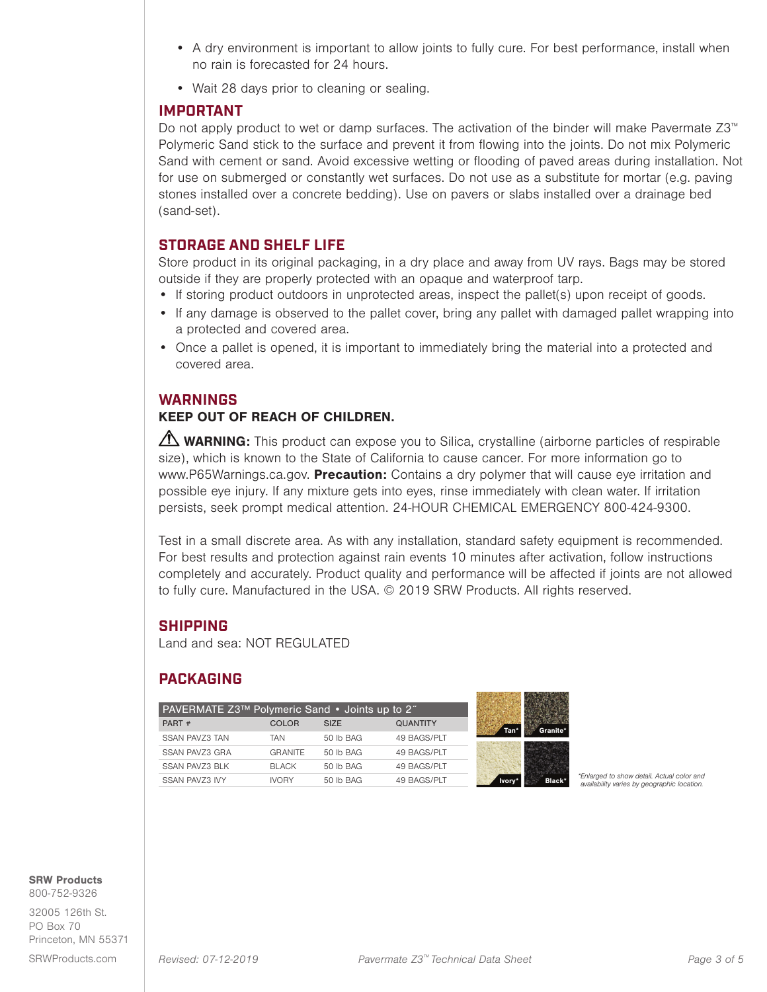- A dry environment is important to allow joints to fully cure. For best performance, install when no rain is forecasted for 24 hours.
- Wait 28 days prior to cleaning or sealing.

#### **IMPORTANT**

Do not apply product to wet or damp surfaces. The activation of the binder will make Pavermate Z3<sup>™</sup> Polymeric Sand stick to the surface and prevent it from flowing into the joints. Do not mix Polymeric Sand with cement or sand. Avoid excessive wetting or flooding of paved areas during installation. Not for use on submerged or constantly wet surfaces. Do not use as a substitute for mortar (e.g. paving stones installed over a concrete bedding). Use on pavers or slabs installed over a drainage bed (sand-set).

#### **STORAGE AND SHELF LIFE**

Store product in its original packaging, in a dry place and away from UV rays. Bags may be stored outside if they are properly protected with an opaque and waterproof tarp.

- If storing product outdoors in unprotected areas, inspect the pallet(s) upon receipt of goods.
- If any damage is observed to the pallet cover, bring any pallet with damaged pallet wrapping into a protected and covered area.
- Once a pallet is opened, it is important to immediately bring the material into a protected and covered area.

#### **WARNINGS**

## KEEP OUT OF REACH OF CHILDREN.

WARNING: This product can expose you to Silica, crystalline (airborne particles of respirable size), which is known to the State of California to cause cancer. For more information go to www.P65Warnings.ca.gov. Precaution: Contains a dry polymer that will cause eye irritation and possible eye injury. If any mixture gets into eyes, rinse immediately with clean water. If irritation persists, seek prompt medical attention. 24-HOUR CHEMICAL EMERGENCY 800-424-9300.

Test in a small discrete area. As with any installation, standard safety equipment is recommended. For best results and protection against rain events 10 minutes after activation, follow instructions completely and accurately. Product quality and performance will be affected if joints are not allowed to fully cure. Manufactured in the USA. © 2019 SRW Products. All rights reserved.

**WASHINGTON OF THE SEA** 

#### **SHIPPING**

Land and sea: NOT REGULATED

## **PACKAGING**

| PART#<br><b>QUANTITY</b><br><b>SIZE</b><br>COLOR<br><b>SSAN PAVZ3 TAN</b><br>49 BAGS/PLT<br>50 lb BAG<br>TAN<br><b>GRANITE</b><br>50 lb BAG<br>49 BAGS/PLT | PAVERMATE Z3™ Polymeric Sand • Joints up to 2" |
|------------------------------------------------------------------------------------------------------------------------------------------------------------|------------------------------------------------|
|                                                                                                                                                            |                                                |
|                                                                                                                                                            |                                                |
|                                                                                                                                                            | SSAN PAVZ3 GRA                                 |
| SSAN PAVZ3 BLK<br>49 BAGS/PLT<br><b>BLACK</b><br>50 lb BAG                                                                                                 |                                                |
| <b>SSAN PAVZ3 IVY</b><br>49 BAGS/PLT<br><b>IVORY</b><br>50 lb BAG                                                                                          |                                                |

**Ivory\* Black\*** <sup>\*</sup>Enlarged to show detail. Actual color and **Black\*** availability varies by geographic location.

SRW Products

800-752-9326 32005 126th St.

PO Box 70 Princeton, MN 55371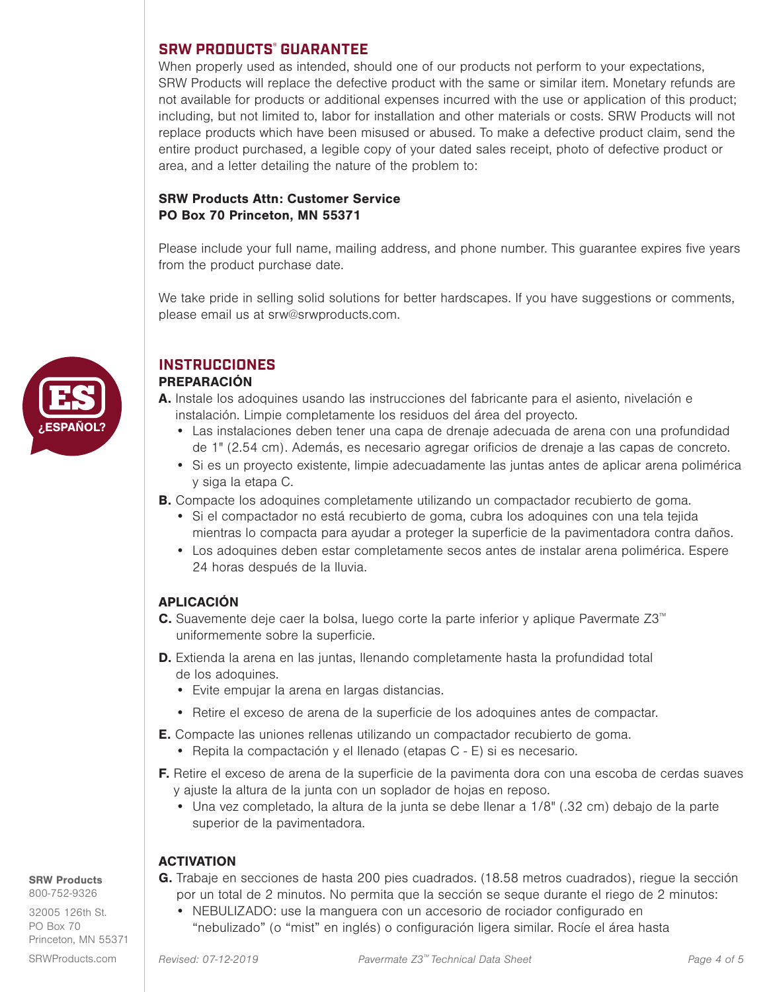#### **SRW PRODUCTS® GUARANTEE**

When properly used as intended, should one of our products not perform to your expectations, SRW Products will replace the defective product with the same or similar item. Monetary refunds are not available for products or additional expenses incurred with the use or application of this product; including, but not limited to, labor for installation and other materials or costs. SRW Products will not replace products which have been misused or abused. To make a defective product claim, send the entire product purchased, a legible copy of your dated sales receipt, photo of defective product or area, and a letter detailing the nature of the problem to:

#### SRW Products Attn: Customer Service PO Box 70 Princeton, MN 55371

Please include your full name, mailing address, and phone number. This guarantee expires five years from the product purchase date.

We take pride in selling solid solutions for better hardscapes. If you have suggestions or comments, please email us at srw@srwproducts.com.



## **INSTRUCCIONES**

## PREPARACIÓN

- A. Instale los adoquines usando las instrucciones del fabricante para el asiento, nivelación e instalación. Limpie completamente los residuos del área del proyecto.
	- Las instalaciones deben tener una capa de drenaje adecuada de arena con una profundidad de 1" (2.54 cm). Además, es necesario agregar orificios de drenaje a las capas de concreto.
	- Si es un proyecto existente, limpie adecuadamente las juntas antes de aplicar arena polimérica y siga la etapa C.
- B. Compacte los adoquines completamente utilizando un compactador recubierto de goma.
	- Si el compactador no está recubierto de goma, cubra los adoquines con una tela tejida mientras lo compacta para ayudar a proteger la superficie de la pavimentadora contra daños.
	- Los adoquines deben estar completamente secos antes de instalar arena polimérica. Espere 24 horas después de la lluvia.

#### APLICACIÓN

- C. Suavemente deje caer la bolsa, luego corte la parte inferior y aplique Pavermate Z3™ uniformemente sobre la superficie.
- D. Extienda la arena en las juntas, llenando completamente hasta la profundidad total de los adoquines.
	- Evite empujar la arena en largas distancias.
	- Retire el exceso de arena de la superficie de los adoquines antes de compactar.
- E. Compacte las uniones rellenas utilizando un compactador recubierto de goma.
	- Repita la compactación y el llenado (etapas C E) si es necesario.
- F. Retire el exceso de arena de la superficie de la pavimenta dora con una escoba de cerdas suaves y ajuste la altura de la junta con un soplador de hojas en reposo.
	- Una vez completado, la altura de la junta se debe llenar a 1/8" (.32 cm) debajo de la parte superior de la pavimentadora.

#### **ACTIVATION**

#### SRW Products

800-752-9326

32005 126th St. PO Box 70 Princeton, MN 55371

- G. Trabaje en secciones de hasta 200 pies cuadrados. (18.58 metros cuadrados), riegue la sección por un total de 2 minutos. No permita que la sección se seque durante el riego de 2 minutos:
	- NEBULIZADO: use la manguera con un accesorio de rociador configurado en "nebulizado" (o "mist" en inglés) o configuración ligera similar. Rocíe el área hasta